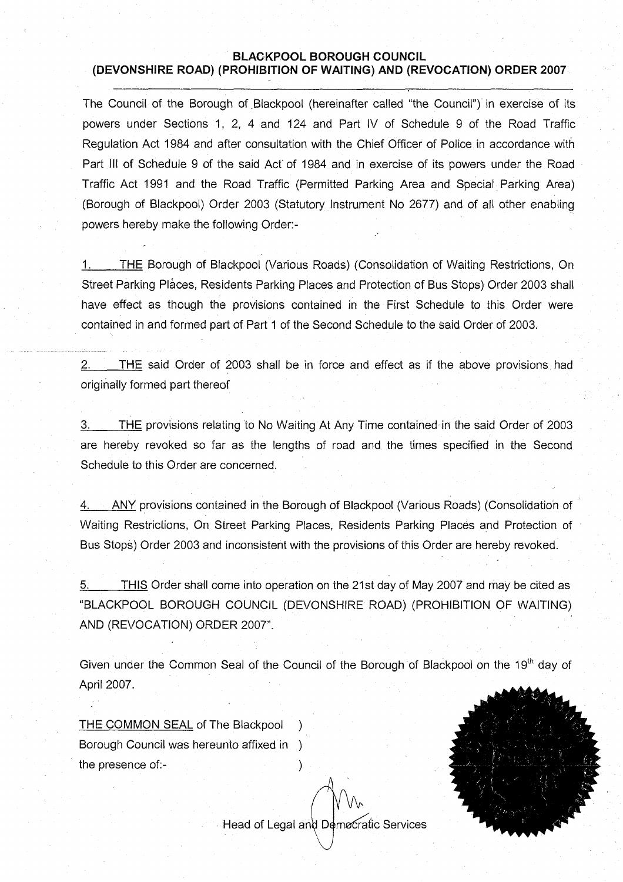## **BLACKPOOL BOROUGH COUNCIL (DEVONSHIRE ROAD) (PROHIBITION OF WAITING) AND (REVOCATION) ORDER 2007**

The Council of the Borough of Blackpool (hereinafter called "the Council") in exercise of its powers under Sections 1, 2, 4 and 124 and Part IV of Schedule 9 of the Road Traffic Regulation Act 1984 and after consultation with the Chief Officer of Police in accordance with Part III of Schedule 9 of the said Act'of 1984 and in exercise of its powers under the Road Traffic Act 1991 and the Road Traffic (Permitted Parking Area and Special Parking Area) (Borough of Blackpool) Order 2003 (Statutory Instrument No 2677) and of all other enabling powers hereby make the following Order:-

1. THE Borough of Blackpool (Various Roads) (Consolidation of Waiting Restrictions, On Street Parking Places, Residents Parking Places and Protection of Bus Stops) Order 2003 shall have effect as though the provisions contained in the First Schedule to this Order were contained in and formed part of Part 1 of the Second Schedule to the said Order of 2003.

2. THE said Order of 2003 shall be in force and effect as if the above provisions had originally formed part thereof

3. THE provisions relating to No Waiting At Any Time contained in the said Order of 2003 are hereby revoked so far as the lengths of road and the times specified in the Second Schedule to this Order are concerned.

4. ANY provisions contained in the Borough of Blackpool (Various Roads) (Consolidation of Waiting Restrictions, On Street Parking Places, Residents Parking Places and Protection of Bus Stops) Order 2003 and inconsistent with the provisions of this Order are hereby revoked.

5.\_\_\_\_\_THIS Order shall come into operation on the 21st day of May 2007 and may be cited as "BLACKPOOL BOROUGH COUNCIL (DEVONSHIRE ROAD) (PROHIBITION OF WAITING) AND (REVOCATION) ORDER 2007".

Given under the Common Seal of the Council of the Borough of Blackpool on the 19<sup>th</sup> day of April 2007.

THE COMMON SEAL of The Blackpool Borough Council was hereunto affixed in ) the presence of:-

Head of Legal and Democratic Services